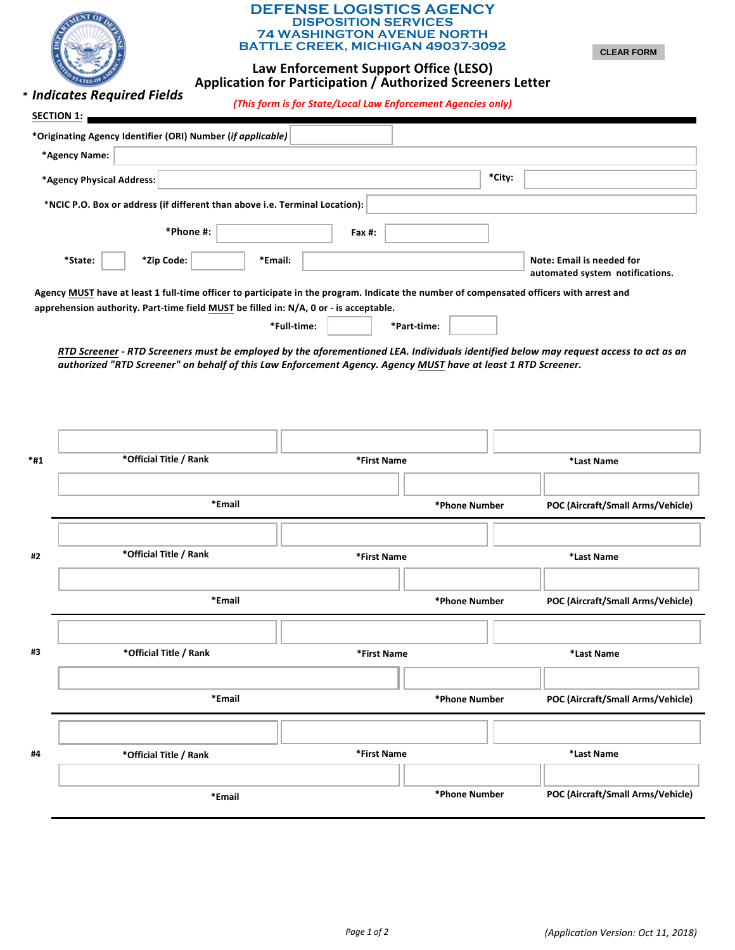| <b>DEFENSE LOGISTICS AGENCY</b><br><b>DISPOSITION SERVICES</b><br><b>74 WASHINGTON AVENUE NORTH</b><br><b>BATTLE CREEK, MICHIGAN 49037-3092</b><br><b>CLEAR FORM</b><br>Law Enforcement Support Office (LESO)<br>Application for Participation / Authorized Screeners Letter<br>* Indicates Required Fields<br>(This form is for State/Local Law Enforcement Agencies only)<br>SECTION 1: |                                                                                       |             |             |                                                    |  |                                   |  |  |
|-------------------------------------------------------------------------------------------------------------------------------------------------------------------------------------------------------------------------------------------------------------------------------------------------------------------------------------------------------------------------------------------|---------------------------------------------------------------------------------------|-------------|-------------|----------------------------------------------------|--|-----------------------------------|--|--|
|                                                                                                                                                                                                                                                                                                                                                                                           | *Originating Agency Identifier (ORI) Number (if applicable)                           |             |             |                                                    |  |                                   |  |  |
|                                                                                                                                                                                                                                                                                                                                                                                           | *Agency Name:                                                                         |             |             |                                                    |  |                                   |  |  |
| *City:<br>*Agency Physical Address:                                                                                                                                                                                                                                                                                                                                                       |                                                                                       |             |             |                                                    |  |                                   |  |  |
|                                                                                                                                                                                                                                                                                                                                                                                           | *NCIC P.O. Box or address (if different than above i.e. Terminal Location):           |             |             |                                                    |  |                                   |  |  |
|                                                                                                                                                                                                                                                                                                                                                                                           | *Phone #:                                                                             | Fax #:      |             |                                                    |  |                                   |  |  |
| *State:<br>*Zip Code:<br>Note: Email is needed for<br>*Email:<br>automated system notifications.<br>Agency MUST have at least 1 full-time officer to participate in the program. Indicate the number of compensated officers with arrest and                                                                                                                                              |                                                                                       |             |             |                                                    |  |                                   |  |  |
|                                                                                                                                                                                                                                                                                                                                                                                           | apprehension authority. Part-time field MUST be filled in: N/A, 0 or - is acceptable. |             |             |                                                    |  |                                   |  |  |
|                                                                                                                                                                                                                                                                                                                                                                                           |                                                                                       | *Full-time: |             | *Part-time:                                        |  |                                   |  |  |
| RTD Screener - RTD Screeners must be employed by the aforementioned LEA. Individuals identified below may request access to act as an<br>authorized "RTD Screener" on behalf of this Law Enforcement Agency. Agency MUST have at least 1 RTD Screener.                                                                                                                                    |                                                                                       |             |             |                                                    |  |                                   |  |  |
|                                                                                                                                                                                                                                                                                                                                                                                           |                                                                                       |             |             |                                                    |  |                                   |  |  |
| *#1                                                                                                                                                                                                                                                                                                                                                                                       | *Official Title / Rank                                                                |             | *First Name |                                                    |  | *Last Name                        |  |  |
|                                                                                                                                                                                                                                                                                                                                                                                           |                                                                                       |             |             |                                                    |  |                                   |  |  |
|                                                                                                                                                                                                                                                                                                                                                                                           | *Email                                                                                |             |             | POC (Aircraft/Small Arms/Vehicle)<br>*Phone Number |  |                                   |  |  |
|                                                                                                                                                                                                                                                                                                                                                                                           |                                                                                       |             |             |                                                    |  |                                   |  |  |
| #2                                                                                                                                                                                                                                                                                                                                                                                        | *Official Title / Rank                                                                |             | *First Name |                                                    |  | *Last Name                        |  |  |
|                                                                                                                                                                                                                                                                                                                                                                                           |                                                                                       |             |             |                                                    |  |                                   |  |  |
|                                                                                                                                                                                                                                                                                                                                                                                           | *Email                                                                                |             |             | *Phone Number                                      |  | POC (Aircraft/Small Arms/Vehicle) |  |  |
|                                                                                                                                                                                                                                                                                                                                                                                           |                                                                                       |             |             |                                                    |  |                                   |  |  |
| #3                                                                                                                                                                                                                                                                                                                                                                                        | *Official Title / Rank                                                                |             | *First Name |                                                    |  | *Last Name                        |  |  |
|                                                                                                                                                                                                                                                                                                                                                                                           |                                                                                       |             |             |                                                    |  |                                   |  |  |
|                                                                                                                                                                                                                                                                                                                                                                                           | *Email                                                                                |             |             | *Phone Number<br>POC (Aircraft/Small Arms/Vehicle) |  |                                   |  |  |
|                                                                                                                                                                                                                                                                                                                                                                                           |                                                                                       |             |             |                                                    |  |                                   |  |  |
| #4                                                                                                                                                                                                                                                                                                                                                                                        | *Official Title / Rank                                                                |             | *First Name |                                                    |  | *Last Name                        |  |  |
|                                                                                                                                                                                                                                                                                                                                                                                           |                                                                                       |             |             |                                                    |  |                                   |  |  |
|                                                                                                                                                                                                                                                                                                                                                                                           | *Email                                                                                |             |             | *Phone Number                                      |  | POC (Aircraft/Small Arms/Vehicle) |  |  |